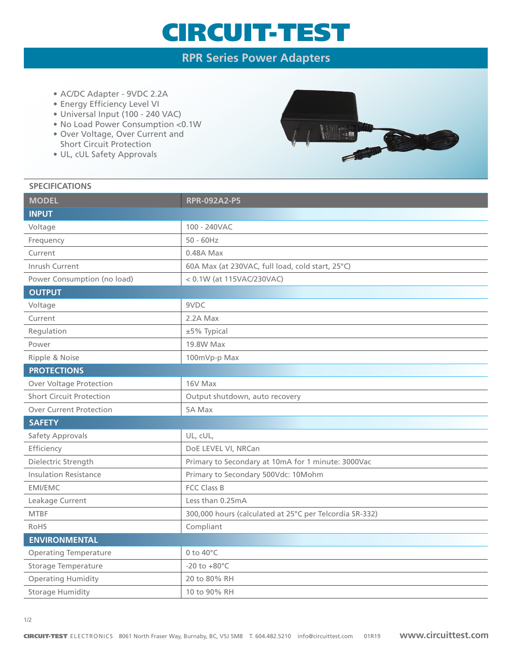## CIRCUIT-TEST

### **RPR Series Power Adapters**

- AC/DC Adapter 9VDC 2.2A
- Energy Efficiency Level VI
- Universal Input (100 240 VAC)
- No Load Power Consumption <0.1W
- Over Voltage, Over Current and Short Circuit Protection
- UL, cUL Safety Approvals



#### **SPECIFICATIONS**

| <b>RPR-092A2-P5</b>                                     |
|---------------------------------------------------------|
|                                                         |
| 100 - 240VAC                                            |
| $50 - 60$ Hz                                            |
| $0.48A$ Max                                             |
| 60A Max (at 230VAC, full load, cold start, 25°C)        |
| < 0.1W (at 115VAC/230VAC)                               |
|                                                         |
| 9VDC                                                    |
| 2.2A Max                                                |
| ±5% Typical                                             |
| 19.8W Max                                               |
| 100mVp-p Max                                            |
|                                                         |
| 16V Max                                                 |
| Output shutdown, auto recovery                          |
| 5A Max                                                  |
|                                                         |
| UL, cUL,                                                |
| DoE LEVEL VI, NRCan                                     |
| Primary to Secondary at 10mA for 1 minute: 3000Vac      |
| Primary to Secondary 500Vdc: 10Mohm                     |
| <b>FCC Class B</b>                                      |
| Less than 0.25mA                                        |
| 300,000 hours (calculated at 25°C per Telcordia SR-332) |
| Compliant                                               |
|                                                         |
| 0 to $40^{\circ}$ C                                     |
| $-20$ to $+80^{\circ}$ C                                |
| 20 to 80% RH                                            |
| 10 to 90% RH                                            |
|                                                         |